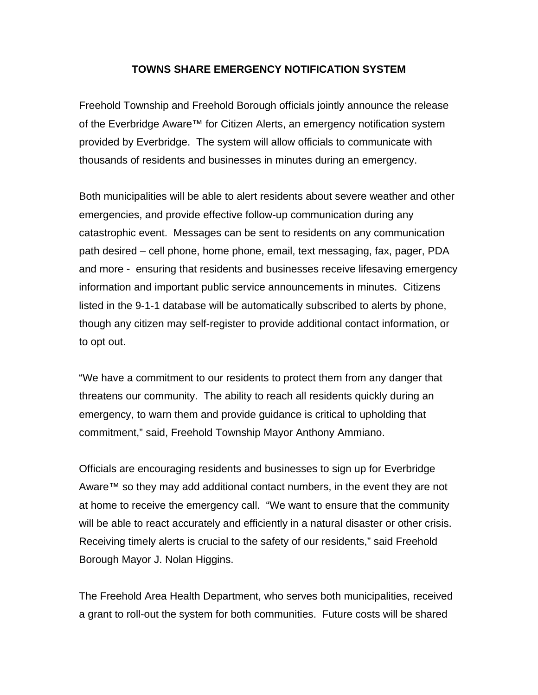## **TOWNS SHARE EMERGENCY NOTIFICATION SYSTEM**

Freehold Township and Freehold Borough officials jointly announce the release of the Everbridge Aware™ for Citizen Alerts, an emergency notification system provided by Everbridge. The system will allow officials to communicate with thousands of residents and businesses in minutes during an emergency.

Both municipalities will be able to alert residents about severe weather and other emergencies, and provide effective follow-up communication during any catastrophic event. Messages can be sent to residents on any communication path desired – cell phone, home phone, email, text messaging, fax, pager, PDA and more - ensuring that residents and businesses receive lifesaving emergency information and important public service announcements in minutes. Citizens listed in the 9-1-1 database will be automatically subscribed to alerts by phone, though any citizen may self-register to provide additional contact information, or to opt out.

"We have a commitment to our residents to protect them from any danger that threatens our community. The ability to reach all residents quickly during an emergency, to warn them and provide guidance is critical to upholding that commitment," said, Freehold Township Mayor Anthony Ammiano.

Officials are encouraging residents and businesses to sign up for Everbridge Aware<sup>™</sup> so they may add additional contact numbers, in the event they are not at home to receive the emergency call. "We want to ensure that the community will be able to react accurately and efficiently in a natural disaster or other crisis. Receiving timely alerts is crucial to the safety of our residents," said Freehold Borough Mayor J. Nolan Higgins.

The Freehold Area Health Department, who serves both municipalities, received a grant to roll-out the system for both communities. Future costs will be shared